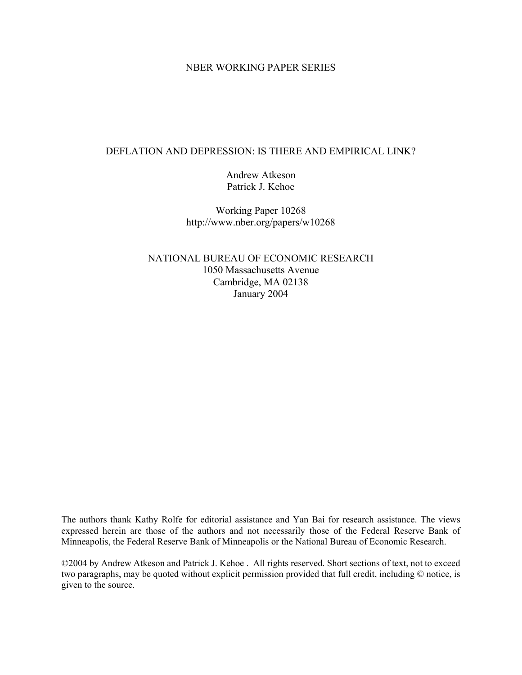# NBER WORKING PAPER SERIES

# DEFLATION AND DEPRESSION: IS THERE AND EMPIRICAL LINK?

Andrew Atkeson Patrick J. Kehoe

Working Paper 10268 http://www.nber.org/papers/w10268

NATIONAL BUREAU OF ECONOMIC RESEARCH 1050 Massachusetts Avenue Cambridge, MA 02138 January 2004

The authors thank Kathy Rolfe for editorial assistance and Yan Bai for research assistance. The views expressed herein are those of the authors and not necessarily those of the Federal Reserve Bank of Minneapolis, the Federal Reserve Bank of Minneapolis or the National Bureau of Economic Research.

©2004 by Andrew Atkeson and Patrick J. Kehoe . All rights reserved. Short sections of text, not to exceed two paragraphs, may be quoted without explicit permission provided that full credit, including © notice, is given to the source.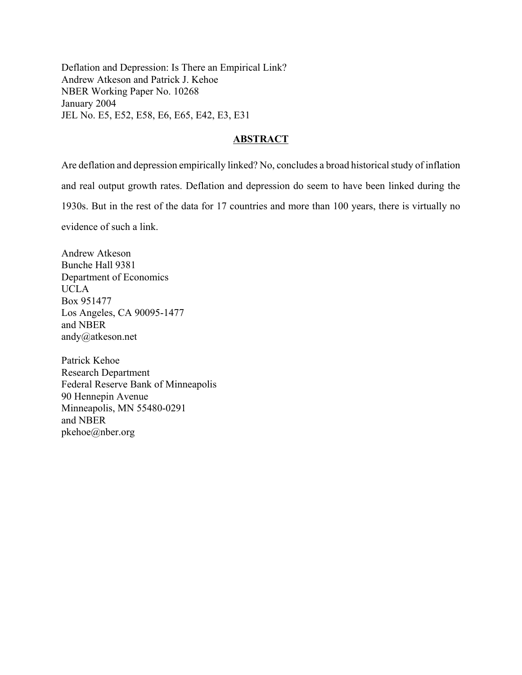Deflation and Depression: Is There an Empirical Link? Andrew Atkeson and Patrick J. Kehoe NBER Working Paper No. 10268 January 2004 JEL No. E5, E52, E58, E6, E65, E42, E3, E31

# **ABSTRACT**

Are deflation and depression empirically linked? No, concludes a broad historical study of inflation and real output growth rates. Deflation and depression do seem to have been linked during the 1930s. But in the rest of the data for 17 countries and more than 100 years, there is virtually no evidence of such a link.

Andrew Atkeson Bunche Hall 9381 Department of Economics UCLA Box 951477 Los Angeles, CA 90095-1477 and NBER andy@atkeson.net

Patrick Kehoe Research Department Federal Reserve Bank of Minneapolis 90 Hennepin Avenue Minneapolis, MN 55480-0291 and NBER pkehoe@nber.org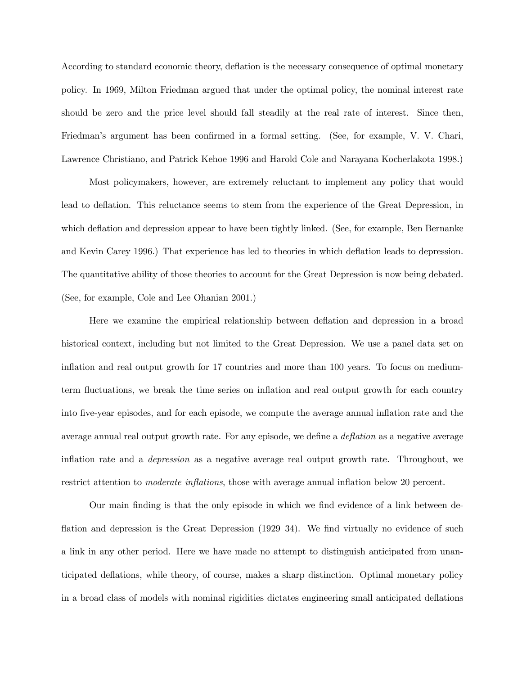According to standard economic theory, deflation is the necessary consequence of optimal monetary policy. In 1969, Milton Friedman argued that under the optimal policy, the nominal interest rate should be zero and the price level should fall steadily at the real rate of interest. Since then, Friedman's argument has been confirmed in a formal setting. (See, for example, V. V. Chari, Lawrence Christiano, and Patrick Kehoe 1996 and Harold Cole and Narayana Kocherlakota 1998.)

Most policymakers, however, are extremely reluctant to implement any policy that would lead to deflation. This reluctance seems to stem from the experience of the Great Depression, in which deflation and depression appear to have been tightly linked. (See, for example, Ben Bernanke and Kevin Carey 1996.) That experience has led to theories in which deflation leads to depression. The quantitative ability of those theories to account for the Great Depression is now being debated. (See, for example, Cole and Lee Ohanian 2001.)

Here we examine the empirical relationship between deflation and depression in a broad historical context, including but not limited to the Great Depression. We use a panel data set on inflation and real output growth for 17 countries and more than 100 years. To focus on mediumterm fluctuations, we break the time series on inflation and real output growth for each country into five-year episodes, and for each episode, we compute the average annual inflation rate and the average annual real output growth rate. For any episode, we define a deflation as a negative average inflation rate and a depression as a negative average real output growth rate. Throughout, we restrict attention to *moderate inflations*, those with average annual inflation below 20 percent.

Our main finding is that the only episode in which we find evidence of a link between deflation and depression is the Great Depression (1929–34). We find virtually no evidence of such a link in any other period. Here we have made no attempt to distinguish anticipated from unanticipated deflations, while theory, of course, makes a sharp distinction. Optimal monetary policy in a broad class of models with nominal rigidities dictates engineering small anticipated deflations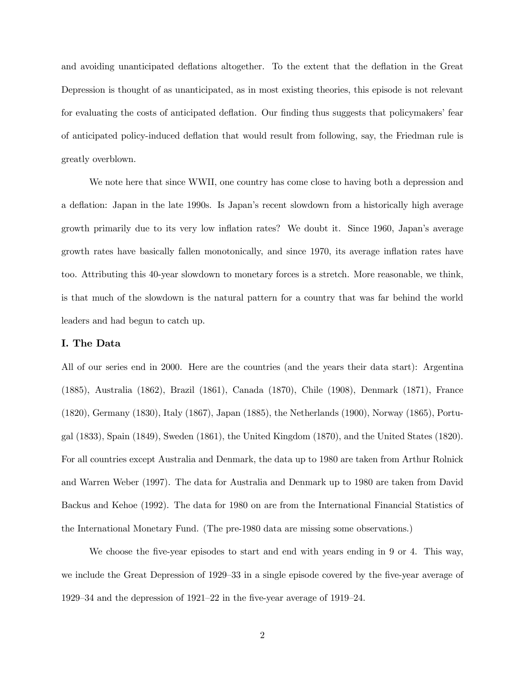and avoiding unanticipated deflations altogether. To the extent that the deflation in the Great Depression is thought of as unanticipated, as in most existing theories, this episode is not relevant for evaluating the costs of anticipated deflation. Our finding thus suggests that policymakers' fear of anticipated policy-induced deflation that would result from following, say, the Friedman rule is greatly overblown.

We note here that since WWII, one country has come close to having both a depression and a deflation: Japan in the late 1990s. Is Japan's recent slowdown from a historically high average growth primarily due to its very low inflation rates? We doubt it. Since 1960, Japan's average growth rates have basically fallen monotonically, and since 1970, its average inflation rates have too. Attributing this 40-year slowdown to monetary forces is a stretch. More reasonable, we think, is that much of the slowdown is the natural pattern for a country that was far behind the world leaders and had begun to catch up.

### I. The Data

All of our series end in 2000. Here are the countries (and the years their data start): Argentina (1885), Australia (1862), Brazil (1861), Canada (1870), Chile (1908), Denmark (1871), France (1820), Germany (1830), Italy (1867), Japan (1885), the Netherlands (1900), Norway (1865), Portugal (1833), Spain (1849), Sweden (1861), the United Kingdom (1870), and the United States (1820). For all countries except Australia and Denmark, the data up to 1980 are taken from Arthur Rolnick and Warren Weber (1997). The data for Australia and Denmark up to 1980 are taken from David Backus and Kehoe (1992). The data for 1980 on are from the International Financial Statistics of the International Monetary Fund. (The pre-1980 data are missing some observations.)

We choose the five-year episodes to start and end with years ending in 9 or 4. This way, we include the Great Depression of 1929—33 in a single episode covered by the five-year average of 1929—34 and the depression of 1921—22 in the five-year average of 1919—24.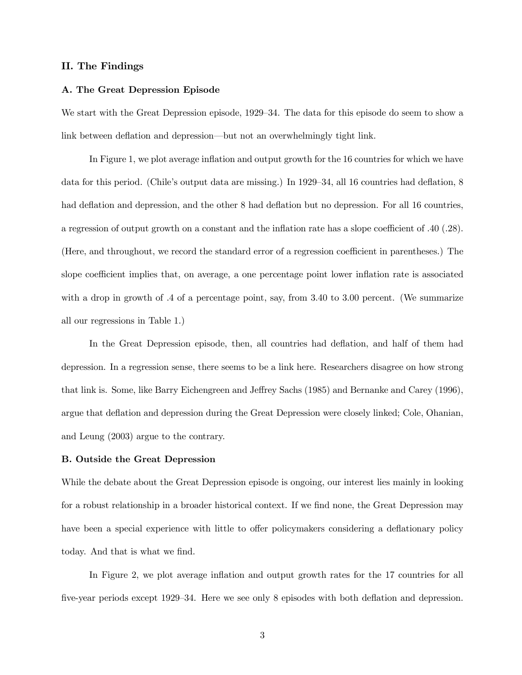#### II. The Findings

#### A. The Great Depression Episode

We start with the Great Depression episode, 1929—34. The data for this episode do seem to show a link between deflation and depression–but not an overwhelmingly tight link.

In Figure 1, we plot average inflation and output growth for the 16 countries for which we have data for this period. (Chile's output data are missing.) In 1929—34, all 16 countries had deflation, 8 had deflation and depression, and the other 8 had deflation but no depression. For all 16 countries, a regression of output growth on a constant and the inflation rate has a slope coefficient of .40 (.28). (Here, and throughout, we record the standard error of a regression coefficient in parentheses.) The slope coefficient implies that, on average, a one percentage point lower inflation rate is associated with a drop in growth of .4 of a percentage point, say, from 3.40 to 3.00 percent. (We summarize all our regressions in Table 1.)

In the Great Depression episode, then, all countries had deflation, and half of them had depression. In a regression sense, there seems to be a link here. Researchers disagree on how strong that link is. Some, like Barry Eichengreen and Jeffrey Sachs (1985) and Bernanke and Carey (1996), argue that deflation and depression during the Great Depression were closely linked; Cole, Ohanian, and Leung (2003) argue to the contrary.

#### B. Outside the Great Depression

While the debate about the Great Depression episode is ongoing, our interest lies mainly in looking for a robust relationship in a broader historical context. If we find none, the Great Depression may have been a special experience with little to offer policymakers considering a deflationary policy today. And that is what we find.

In Figure 2, we plot average inflation and output growth rates for the 17 countries for all five-year periods except 1929—34. Here we see only 8 episodes with both deflation and depression.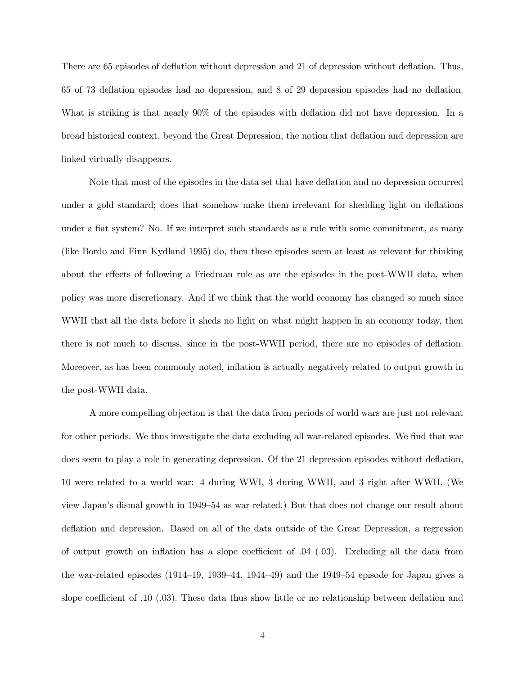There are 65 episodes of deflation without depression and 21 of depression without deflation. Thus, 65 of 73 deflation episodes had no depression, and 8 of 29 depression episodes had no deflation. What is striking is that nearly 90% of the episodes with deflation did not have depression. In a broad historical context, beyond the Great Depression, the notion that deflation and depression are linked virtually disappears.

Note that most of the episodes in the data set that have deflation and no depression occurred under a gold standard; does that somehow make them irrelevant for shedding light on deflations under a fiat system? No. If we interpret such standards as a rule with some commitment, as many (like Bordo and Finn Kydland 1995) do, then these episodes seem at least as relevant for thinking about the effects of following a Friedman rule as are the episodes in the post-WWII data, when policy was more discretionary. And if we think that the world economy has changed so much since WWII that all the data before it sheds no light on what might happen in an economy today, then there is not much to discuss, since in the post-WWII period, there are no episodes of deflation. Moreover, as has been commonly noted, inflation is actually negatively related to output growth in the post-WWII data.

A more compelling objection is that the data from periods of world wars are just not relevant for other periods. We thus investigate the data excluding all war-related episodes. We find that war does seem to play a role in generating depression. Of the 21 depression episodes without deflation, 10 were related to a world war: 4 during WWI, 3 during WWII, and 3 right after WWII. (We view Japan's dismal growth in 1949—54 as war-related.) But that does not change our result about deflation and depression. Based on all of the data outside of the Great Depression, a regression of output growth on inflation has a slope coefficient of .04 (.03). Excluding all the data from the war-related episodes (1914—19, 1939—44, 1944—49) and the 1949—54 episode for Japan gives a slope coefficient of .10 (.03). These data thus show little or no relationship between deflation and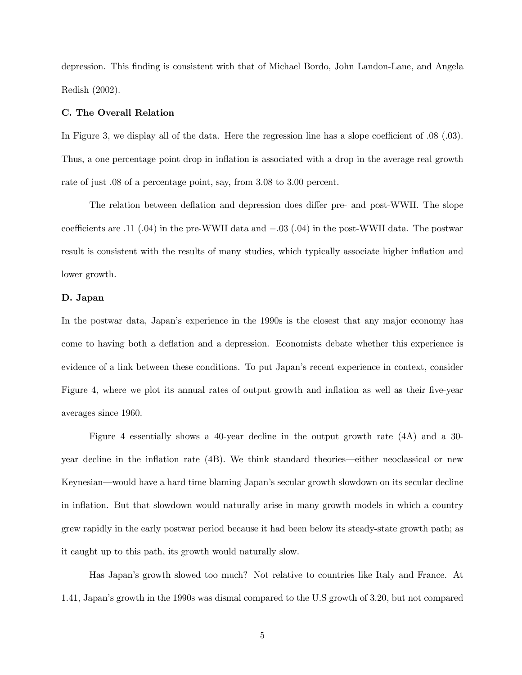depression. This finding is consistent with that of Michael Bordo, John Landon-Lane, and Angela Redish (2002).

#### C. The Overall Relation

In Figure 3, we display all of the data. Here the regression line has a slope coefficient of .08 (.03). Thus, a one percentage point drop in inflation is associated with a drop in the average real growth rate of just .08 of a percentage point, say, from 3.08 to 3.00 percent.

The relation between deflation and depression does differ pre- and post-WWII. The slope coefficients are .11 (.04) in the pre-WWII data and −.03 (.04) in the post-WWII data. The postwar result is consistent with the results of many studies, which typically associate higher inflation and lower growth.

#### D. Japan

In the postwar data, Japan's experience in the 1990s is the closest that any major economy has come to having both a deflation and a depression. Economists debate whether this experience is evidence of a link between these conditions. To put Japan's recent experience in context, consider Figure 4, where we plot its annual rates of output growth and inflation as well as their five-year averages since 1960.

Figure 4 essentially shows a 40-year decline in the output growth rate (4A) and a 30 year decline in the inflation rate (4B). We think standard theories–either neoclassical or new Keynesian–would have a hard time blaming Japan's secular growth slowdown on its secular decline in inflation. But that slowdown would naturally arise in many growth models in which a country grew rapidly in the early postwar period because it had been below its steady-state growth path; as it caught up to this path, its growth would naturally slow.

Has Japan's growth slowed too much? Not relative to countries like Italy and France. At 1.41, Japan's growth in the 1990s was dismal compared to the U.S growth of 3.20, but not compared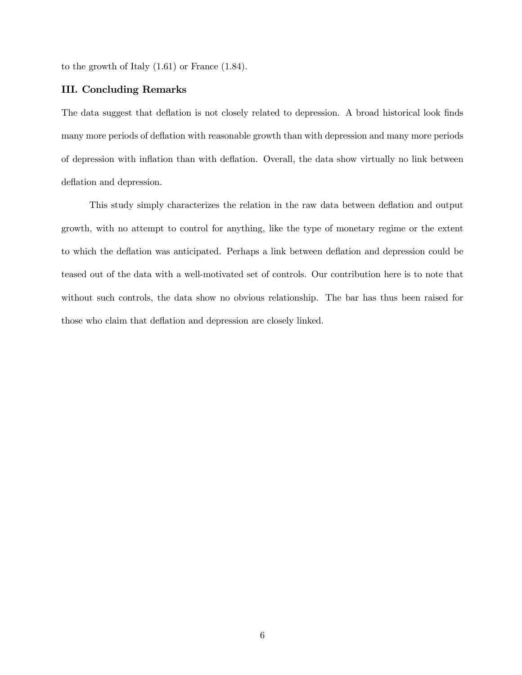to the growth of Italy (1.61) or France (1.84).

#### III. Concluding Remarks

The data suggest that deflation is not closely related to depression. A broad historical look finds many more periods of deflation with reasonable growth than with depression and many more periods of depression with inflation than with deflation. Overall, the data show virtually no link between deflation and depression.

This study simply characterizes the relation in the raw data between deflation and output growth, with no attempt to control for anything, like the type of monetary regime or the extent to which the deflation was anticipated. Perhaps a link between deflation and depression could be teased out of the data with a well-motivated set of controls. Our contribution here is to note that without such controls, the data show no obvious relationship. The bar has thus been raised for those who claim that deflation and depression are closely linked.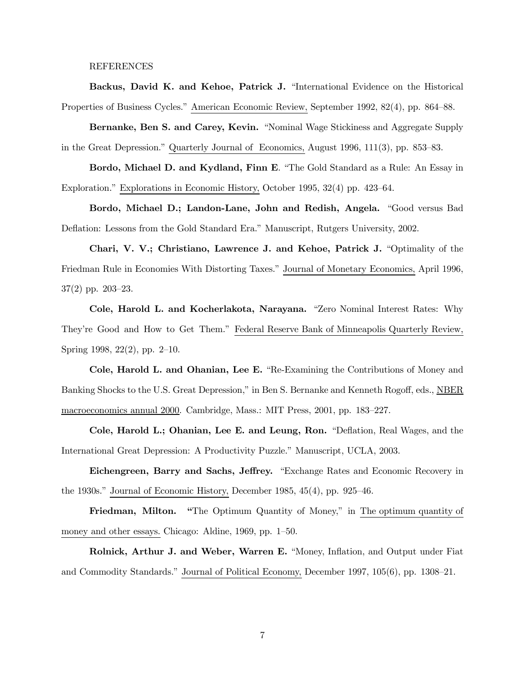#### REFERENCES

Backus, David K. and Kehoe, Patrick J. "International Evidence on the Historical Properties of Business Cycles." American Economic Review, September 1992, 82(4), pp. 864—88.

Bernanke, Ben S. and Carey, Kevin. "Nominal Wage Stickiness and Aggregate Supply in the Great Depression." Quarterly Journal of Economics, August 1996, 111(3), pp. 853—83.

Bordo, Michael D. and Kydland, Finn E. "The Gold Standard as a Rule: An Essay in Exploration." Explorations in Economic History, October 1995, 32(4) pp. 423—64.

Bordo, Michael D.; Landon-Lane, John and Redish, Angela. "Good versus Bad Deflation: Lessons from the Gold Standard Era." Manuscript, Rutgers University, 2002.

Chari, V. V.; Christiano, Lawrence J. and Kehoe, Patrick J. "Optimality of the Friedman Rule in Economies With Distorting Taxes." Journal of Monetary Economics, April 1996, 37(2) pp. 203—23.

Cole, Harold L. and Kocherlakota, Narayana. "Zero Nominal Interest Rates: Why They're Good and How to Get Them." Federal Reserve Bank of Minneapolis Quarterly Review, Spring 1998, 22(2), pp. 2—10.

Cole, Harold L. and Ohanian, Lee E. "Re-Examining the Contributions of Money and Banking Shocks to the U.S. Great Depression," in Ben S. Bernanke and Kenneth Rogoff, eds., NBER macroeconomics annual 2000. Cambridge, Mass.: MIT Press, 2001, pp. 183—227.

Cole, Harold L.; Ohanian, Lee E. and Leung, Ron. "Deflation, Real Wages, and the International Great Depression: A Productivity Puzzle." Manuscript, UCLA, 2003.

Eichengreen, Barry and Sachs, Jeffrey. "Exchange Rates and Economic Recovery in the 1930s." Journal of Economic History, December 1985, 45(4), pp. 925—46.

Friedman, Milton. "The Optimum Quantity of Money," in The optimum quantity of money and other essays. Chicago: Aldine, 1969, pp. 1—50.

Rolnick, Arthur J. and Weber, Warren E. "Money, Inflation, and Output under Fiat and Commodity Standards." Journal of Political Economy, December 1997, 105(6), pp. 1308—21.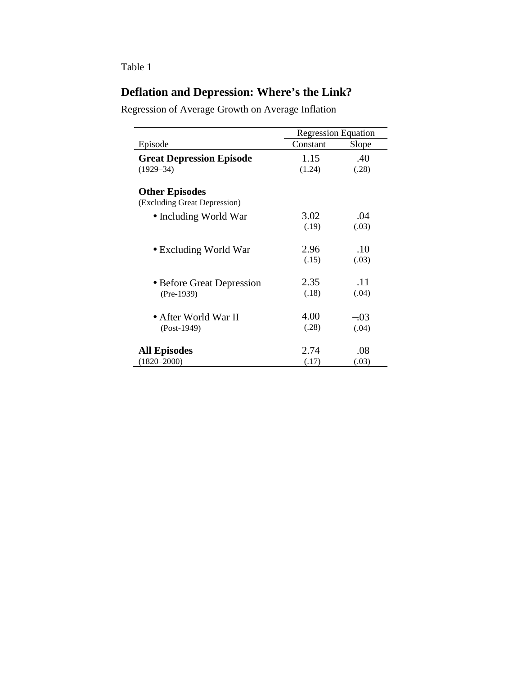# Table 1

# **Deflation and Depression: Where's the Link?**

Regression of Average Growth on Average Inflation

|                                 | <b>Regression Equation</b> |        |
|---------------------------------|----------------------------|--------|
| Episode                         | Constant                   | Slope  |
| <b>Great Depression Episode</b> | 1.15                       | .40    |
| $(1929 - 34)$                   | (1.24)                     | (.28)  |
| <b>Other Episodes</b>           |                            |        |
| (Excluding Great Depression)    |                            |        |
| • Including World War           | 3.02                       | .04    |
|                                 | (.19)                      | (.03)  |
| • Excluding World War           | 2.96                       | .10    |
|                                 | (.15)                      | (.03)  |
| • Before Great Depression       | 2.35                       | .11    |
| $(Pre-1939)$                    | (.18)                      | (.04)  |
| • After World War II            | 4.00                       | $-.03$ |
| $(Post-1949)$                   | (.28)                      | (.04)  |
| <b>All Episodes</b>             | 2.74                       | .08    |
| $(1820 - 2000)$                 | (.17)                      | (.03)  |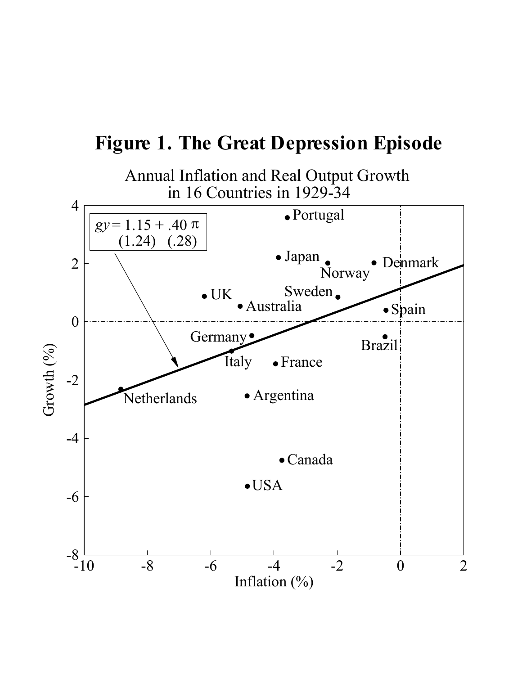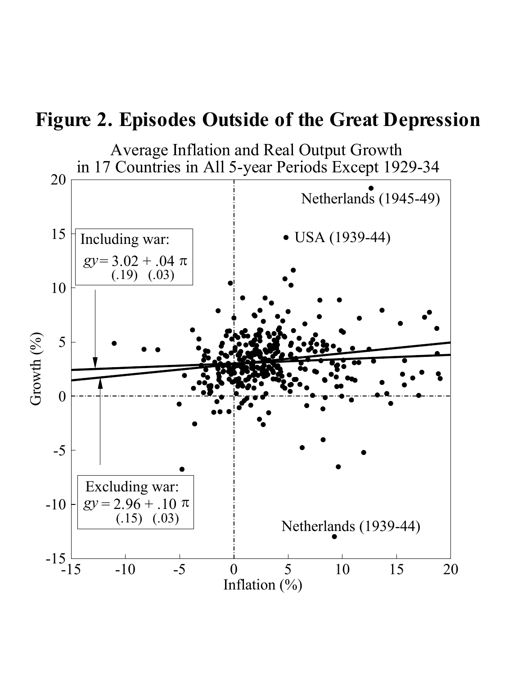# **Figure 2. Episodes Outside of the Great Depression**

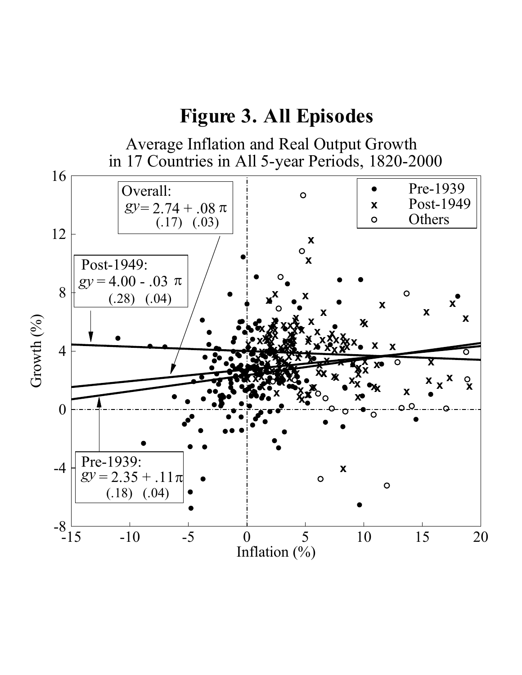# **Figure 3. All Episodes**